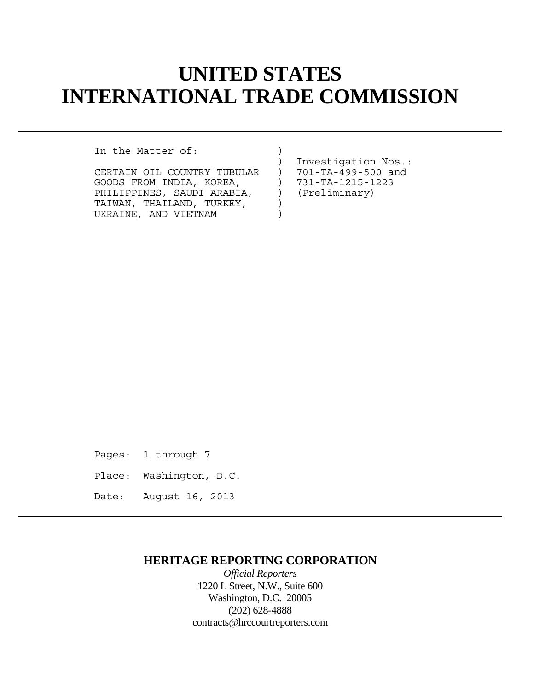# **UNITED STATES INTERNATIONAL TRADE COMMISSION**

In the Matter of:  $)$ 

| CERTAIN OIL COUNTRY TUBULAR |                          | 701-TA-499-500 and |
|-----------------------------|--------------------------|--------------------|
| GOODS FROM INDIA, KOREA,    |                          | 731-TA-1215-1223   |
| PHILIPPINES, SAUDI ARABIA,  | $\overline{\phantom{a}}$ | (Preliminary)      |
| TAIWAN, THAILAND, TURKEY,   |                          |                    |
| UKRAINE, AND VIETNAM        |                          |                    |
|                             |                          |                    |

 ) Investigation Nos.: ) (Preliminary)

Pages: 1 through 7 Place: Washington, D.C. Date: August 16, 2013

## **HERITAGE REPORTING CORPORATION**

*Official Reporters* 1220 L Street, N.W., Suite 600 Washington, D.C. 20005 (202) 628-4888 contracts@hrccourtreporters.com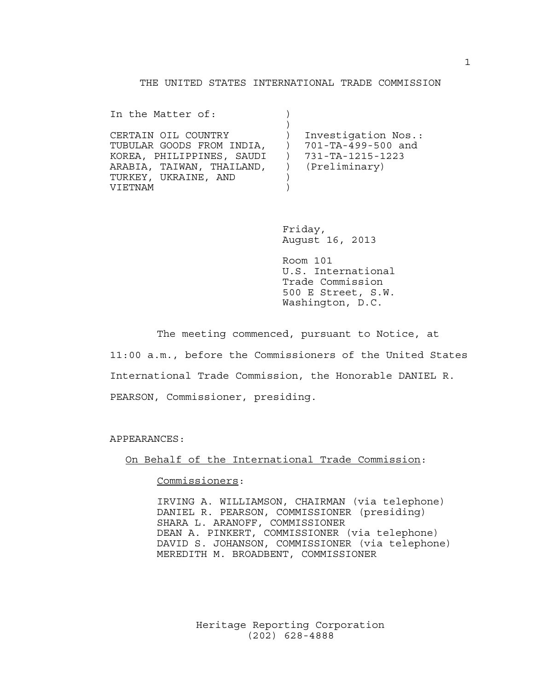#### THE UNITED STATES INTERNATIONAL TRADE COMMISSION

In the Matter of: (1)  $)$ CERTAIN OIL COUNTRY ) Investigation Nos.: TUBULAR GOODS FROM INDIA, ) 701-TA-499-500 and KOREA, PHILIPPINES, SAUDI ) 731-TA-1215-1223 ARABIA, TAIWAN, THAILAND, ) (Preliminary) TURKEY, UKRAINE, AND ) VIETNAM )

> Friday, August 16, 2013

 Room 101 U.S. International Trade Commission 500 E Street, S.W. Washington, D.C.

 The meeting commenced, pursuant to Notice, at 11:00 a.m., before the Commissioners of the United States International Trade Commission, the Honorable DANIEL R. PEARSON, Commissioner, presiding.

APPEARANCES:

On Behalf of the International Trade Commission:

Commissioners:

 IRVING A. WILLIAMSON, CHAIRMAN (via telephone) DANIEL R. PEARSON, COMMISSIONER (presiding) SHARA L. ARANOFF, COMMISSIONER DEAN A. PINKERT, COMMISSIONER (via telephone) DAVID S. JOHANSON, COMMISSIONER (via telephone) MEREDITH M. BROADBENT, COMMISSIONER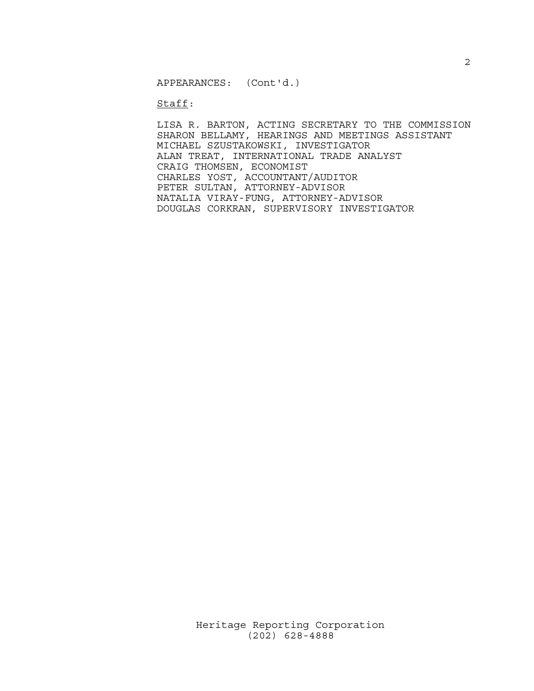APPEARANCES: (Cont'd.)

Staff:

 LISA R. BARTON, ACTING SECRETARY TO THE COMMISSION SHARON BELLAMY, HEARINGS AND MEETINGS ASSISTANT MICHAEL SZUSTAKOWSKI, INVESTIGATOR ALAN TREAT, INTERNATIONAL TRADE ANALYST CRAIG THOMSEN, ECONOMIST CHARLES YOST, ACCOUNTANT/AUDITOR PETER SULTAN, ATTORNEY-ADVISOR NATALIA VIRAY-FUNG, ATTORNEY-ADVISOR DOUGLAS CORKRAN, SUPERVISORY INVESTIGATOR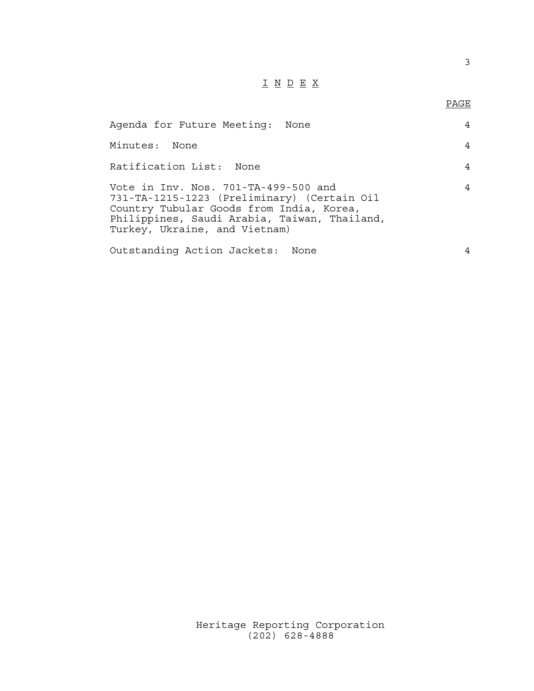## I N D E X

### en de la provincia de la provincia de la provincia de la provincia de la provincia de la provincia de la provi<br>Para la provincia de la provincia de la provincia de la provincia de la provincia de la provincia de la provin

| Agenda for Future Meeting: None                                                                                                                                                                                  | 4 |
|------------------------------------------------------------------------------------------------------------------------------------------------------------------------------------------------------------------|---|
| Minutes: None                                                                                                                                                                                                    | 4 |
| Ratification List: None                                                                                                                                                                                          | 4 |
| Vote in Inv. Nos. 701-TA-499-500 and<br>731-TA-1215-1223 (Preliminary) (Certain Oil<br>Country Tubular Goods from India, Korea,<br>Philippines, Saudi Arabia, Taiwan, Thailand,<br>Turkey, Ukraine, and Vietnam) | 4 |
| Outstanding Action Jackets: None                                                                                                                                                                                 |   |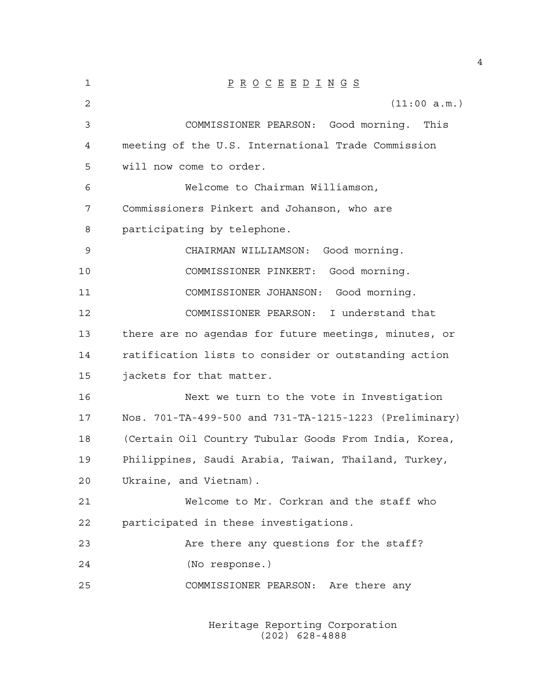| 1  | $\underline{P} \underline{R} \underline{O} \underline{C} \underline{E} \underline{E} \underline{D} \underline{I} \underline{N} \underline{G} \underline{S}$ |
|----|-------------------------------------------------------------------------------------------------------------------------------------------------------------|
| 2  | (11:00 a.m.)                                                                                                                                                |
| 3  | COMMISSIONER PEARSON: Good morning. This                                                                                                                    |
| 4  | meeting of the U.S. International Trade Commission                                                                                                          |
| 5  | will now come to order.                                                                                                                                     |
| 6  | Welcome to Chairman Williamson,                                                                                                                             |
| 7  | Commissioners Pinkert and Johanson, who are                                                                                                                 |
| 8  | participating by telephone.                                                                                                                                 |
| 9  | CHAIRMAN WILLIAMSON: Good morning.                                                                                                                          |
| 10 | COMMISSIONER PINKERT: Good morning.                                                                                                                         |
| 11 | COMMISSIONER JOHANSON: Good morning.                                                                                                                        |
| 12 | COMMISSIONER PEARSON: I understand that                                                                                                                     |
| 13 | there are no agendas for future meetings, minutes, or                                                                                                       |
| 14 | ratification lists to consider or outstanding action                                                                                                        |
| 15 | jackets for that matter.                                                                                                                                    |
| 16 | Next we turn to the vote in Investigation                                                                                                                   |
| 17 | Nos. 701-TA-499-500 and 731-TA-1215-1223 (Preliminary)                                                                                                      |
| 18 | (Certain Oil Country Tubular Goods From India, Korea,                                                                                                       |
| 19 | Philippines, Saudi Arabia, Taiwan, Thailand, Turkey,                                                                                                        |
| 20 | Ukraine, and Vietnam).                                                                                                                                      |
| 21 | Welcome to Mr. Corkran and the staff who                                                                                                                    |
| 22 | participated in these investigations.                                                                                                                       |
| 23 | Are there any questions for the staff?                                                                                                                      |
| 24 | (No response.)                                                                                                                                              |
| 25 | COMMISSIONER PEARSON: Are there any                                                                                                                         |
|    |                                                                                                                                                             |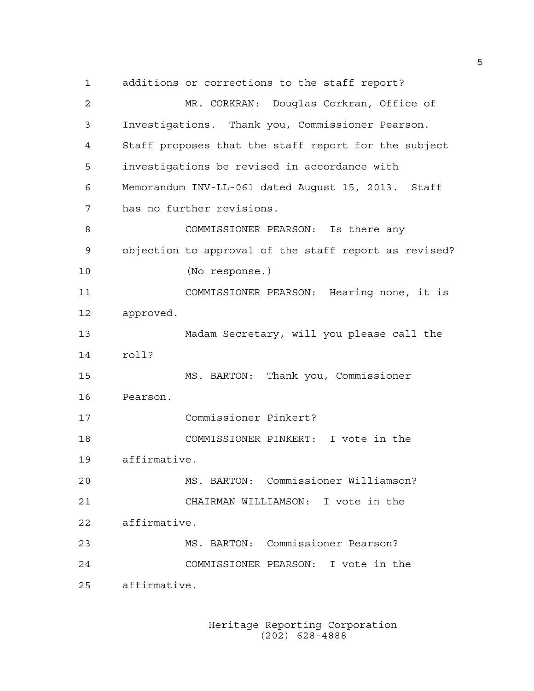1 additions or corrections to the staff report? 2 MR. CORKRAN: Douglas Corkran, Office of 3 Investigations. Thank you, Commissioner Pearson. 4 Staff proposes that the staff report for the subject 5 investigations be revised in accordance with 6 Memorandum INV-LL-061 dated August 15, 2013. Staff 7 has no further revisions. 8 COMMISSIONER PEARSON: Is there any 9 objection to approval of the staff report as revised? 10 (No response.) 11 COMMISSIONER PEARSON: Hearing none, it is 12 approved. 13 Madam Secretary, will you please call the 14 roll? 15 MS. BARTON: Thank you, Commissioner 16 Pearson. 17 Commissioner Pinkert? 18 COMMISSIONER PINKERT: I vote in the 19 affirmative. 20 MS. BARTON: Commissioner Williamson? 21 CHAIRMAN WILLIAMSON: I vote in the 22 affirmative. 23 MS. BARTON: Commissioner Pearson? 24 COMMISSIONER PEARSON: I vote in the 25 affirmative.

> Heritage Reporting Corporation (202) 628-4888

5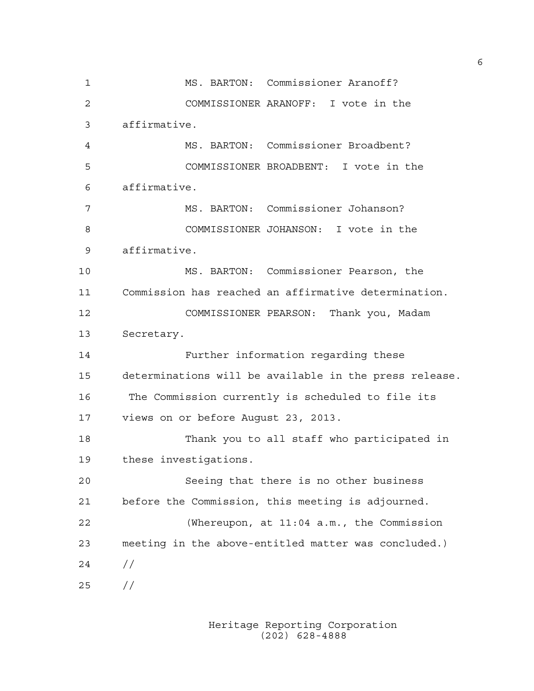1 MS. BARTON: Commissioner Aranoff? 2 COMMISSIONER ARANOFF: I vote in the 3 affirmative. 4 MS. BARTON: Commissioner Broadbent? 5 COMMISSIONER BROADBENT: I vote in the 6 affirmative. 7 MS. BARTON: Commissioner Johanson? 8 COMMISSIONER JOHANSON: I vote in the 9 affirmative. 10 MS. BARTON: Commissioner Pearson, the 11 Commission has reached an affirmative determination. 12 COMMISSIONER PEARSON: Thank you, Madam 13 Secretary. 14 Further information regarding these 15 determinations will be available in the press release. 16 The Commission currently is scheduled to file its 17 views on or before August 23, 2013. 18 Thank you to all staff who participated in 19 these investigations. 20 Seeing that there is no other business 21 before the Commission, this meeting is adjourned. 22 (Whereupon, at 11:04 a.m., the Commission 23 meeting in the above-entitled matter was concluded.) 24 // 25 //